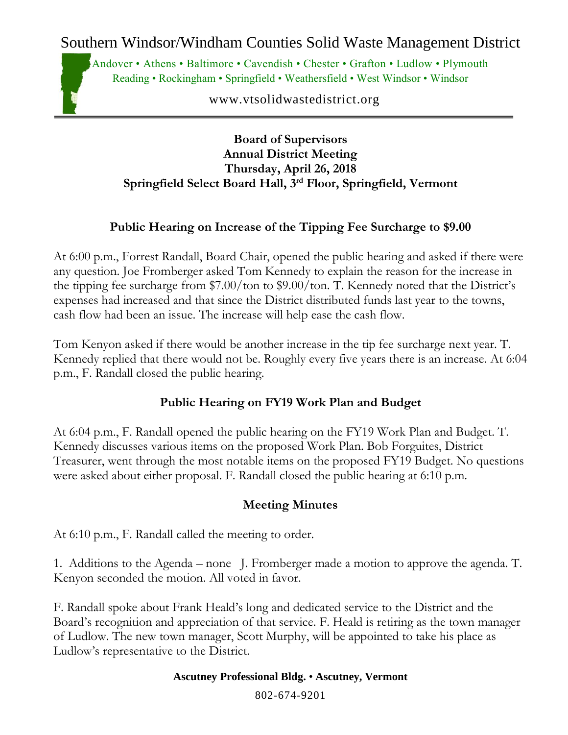Southern Windsor/Windham Counties Solid Waste Management District

Andover • Athens • Baltimore • Cavendish • Chester • Grafton • Ludlow • Plymouth Reading • Rockingham • Springfield • Weathersfield • West Windsor • Windsor

www.vtsolidwastedistrict.org

### **Board of Supervisors Annual District Meeting Thursday, April 26, 2018 Springfield Select Board Hall, 3rd Floor, Springfield, Vermont**

# **Public Hearing on Increase of the Tipping Fee Surcharge to \$9.00**

At 6:00 p.m., Forrest Randall, Board Chair, opened the public hearing and asked if there were any question. Joe Fromberger asked Tom Kennedy to explain the reason for the increase in the tipping fee surcharge from \$7.00/ton to \$9.00/ton. T. Kennedy noted that the District's expenses had increased and that since the District distributed funds last year to the towns, cash flow had been an issue. The increase will help ease the cash flow.

Tom Kenyon asked if there would be another increase in the tip fee surcharge next year. T. Kennedy replied that there would not be. Roughly every five years there is an increase. At 6:04 p.m., F. Randall closed the public hearing.

## **Public Hearing on FY19 Work Plan and Budget**

At 6:04 p.m., F. Randall opened the public hearing on the FY19 Work Plan and Budget. T. Kennedy discusses various items on the proposed Work Plan. Bob Forguites, District Treasurer, went through the most notable items on the proposed FY19 Budget. No questions were asked about either proposal. F. Randall closed the public hearing at 6:10 p.m.

## **Meeting Minutes**

At 6:10 p.m., F. Randall called the meeting to order.

1. Additions to the Agenda – none J. Fromberger made a motion to approve the agenda. T. Kenyon seconded the motion. All voted in favor.

F. Randall spoke about Frank Heald's long and dedicated service to the District and the Board's recognition and appreciation of that service. F. Heald is retiring as the town manager of Ludlow. The new town manager, Scott Murphy, will be appointed to take his place as Ludlow's representative to the District.

### **Ascutney Professional Bldg.** • **Ascutney, Vermont**

802-674-9201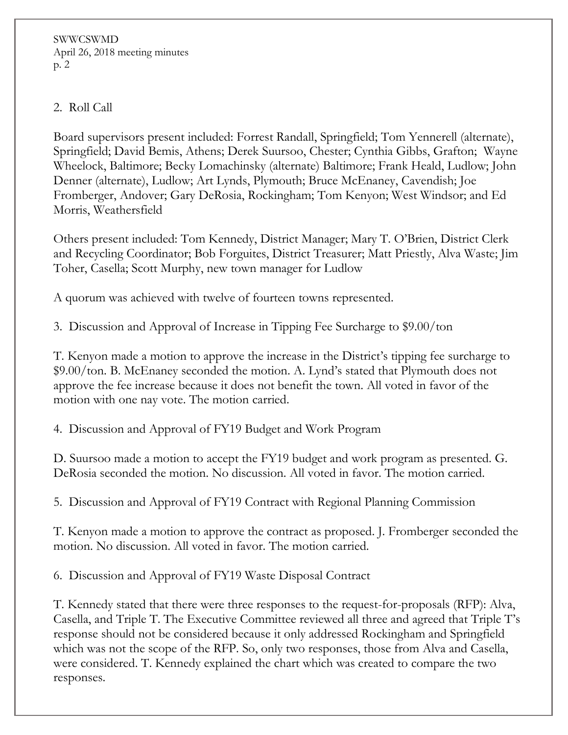SWWCSWMD April 26, 2018 meeting minutes p. 2

### 2. Roll Call

Board supervisors present included: Forrest Randall, Springfield; Tom Yennerell (alternate), Springfield; David Bemis, Athens; Derek Suursoo, Chester; Cynthia Gibbs, Grafton; Wayne Wheelock, Baltimore; Becky Lomachinsky (alternate) Baltimore; Frank Heald, Ludlow; John Denner (alternate), Ludlow; Art Lynds, Plymouth; Bruce McEnaney, Cavendish; Joe Fromberger, Andover; Gary DeRosia, Rockingham; Tom Kenyon; West Windsor; and Ed Morris, Weathersfield

Others present included: Tom Kennedy, District Manager; Mary T. O'Brien, District Clerk and Recycling Coordinator; Bob Forguites, District Treasurer; Matt Priestly, Alva Waste; Jim Toher, Casella; Scott Murphy, new town manager for Ludlow

A quorum was achieved with twelve of fourteen towns represented.

3. Discussion and Approval of Increase in Tipping Fee Surcharge to \$9.00/ton

T. Kenyon made a motion to approve the increase in the District's tipping fee surcharge to \$9.00/ton. B. McEnaney seconded the motion. A. Lynd's stated that Plymouth does not approve the fee increase because it does not benefit the town. All voted in favor of the motion with one nay vote. The motion carried.

4. Discussion and Approval of FY19 Budget and Work Program

D. Suursoo made a motion to accept the FY19 budget and work program as presented. G. DeRosia seconded the motion. No discussion. All voted in favor. The motion carried.

5. Discussion and Approval of FY19 Contract with Regional Planning Commission

T. Kenyon made a motion to approve the contract as proposed. J. Fromberger seconded the motion. No discussion. All voted in favor. The motion carried.

6. Discussion and Approval of FY19 Waste Disposal Contract

T. Kennedy stated that there were three responses to the request-for-proposals (RFP): Alva, Casella, and Triple T. The Executive Committee reviewed all three and agreed that Triple T's response should not be considered because it only addressed Rockingham and Springfield which was not the scope of the RFP. So, only two responses, those from Alva and Casella, were considered. T. Kennedy explained the chart which was created to compare the two responses.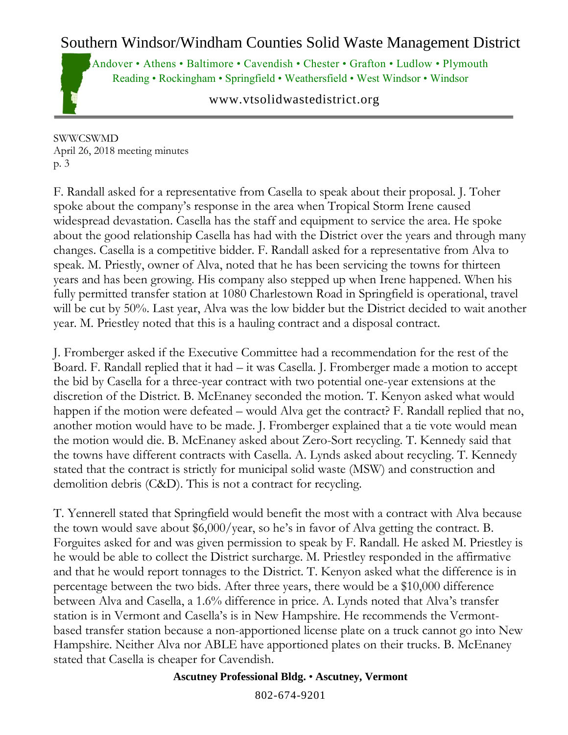# Southern Windsor/Windham Counties Solid Waste Management District

Andover • Athens • Baltimore • Cavendish • Chester • Grafton • Ludlow • Plymouth Reading • Rockingham • Springfield • Weathersfield • West Windsor • Windsor

www.vtsolidwastedistrict.org

SWWCSWMD April 26, 2018 meeting minutes p. 3

F. Randall asked for a representative from Casella to speak about their proposal. J. Toher spoke about the company's response in the area when Tropical Storm Irene caused widespread devastation. Casella has the staff and equipment to service the area. He spoke about the good relationship Casella has had with the District over the years and through many changes. Casella is a competitive bidder. F. Randall asked for a representative from Alva to speak. M. Priestly, owner of Alva, noted that he has been servicing the towns for thirteen years and has been growing. His company also stepped up when Irene happened. When his fully permitted transfer station at 1080 Charlestown Road in Springfield is operational, travel will be cut by 50%. Last year, Alva was the low bidder but the District decided to wait another year. M. Priestley noted that this is a hauling contract and a disposal contract.

J. Fromberger asked if the Executive Committee had a recommendation for the rest of the Board. F. Randall replied that it had – it was Casella. J. Fromberger made a motion to accept the bid by Casella for a three-year contract with two potential one-year extensions at the discretion of the District. B. McEnaney seconded the motion. T. Kenyon asked what would happen if the motion were defeated – would Alva get the contract? F. Randall replied that no, another motion would have to be made. J. Fromberger explained that a tie vote would mean the motion would die. B. McEnaney asked about Zero-Sort recycling. T. Kennedy said that the towns have different contracts with Casella. A. Lynds asked about recycling. T. Kennedy stated that the contract is strictly for municipal solid waste (MSW) and construction and demolition debris (C&D). This is not a contract for recycling.

T. Yennerell stated that Springfield would benefit the most with a contract with Alva because the town would save about \$6,000/year, so he's in favor of Alva getting the contract. B. Forguites asked for and was given permission to speak by F. Randall. He asked M. Priestley is he would be able to collect the District surcharge. M. Priestley responded in the affirmative and that he would report tonnages to the District. T. Kenyon asked what the difference is in percentage between the two bids. After three years, there would be a \$10,000 difference between Alva and Casella, a 1.6% difference in price. A. Lynds noted that Alva's transfer station is in Vermont and Casella's is in New Hampshire. He recommends the Vermontbased transfer station because a non-apportioned license plate on a truck cannot go into New Hampshire. Neither Alva nor ABLE have apportioned plates on their trucks. B. McEnaney stated that Casella is cheaper for Cavendish.

### **Ascutney Professional Bldg.** • **Ascutney, Vermont**

802-674-9201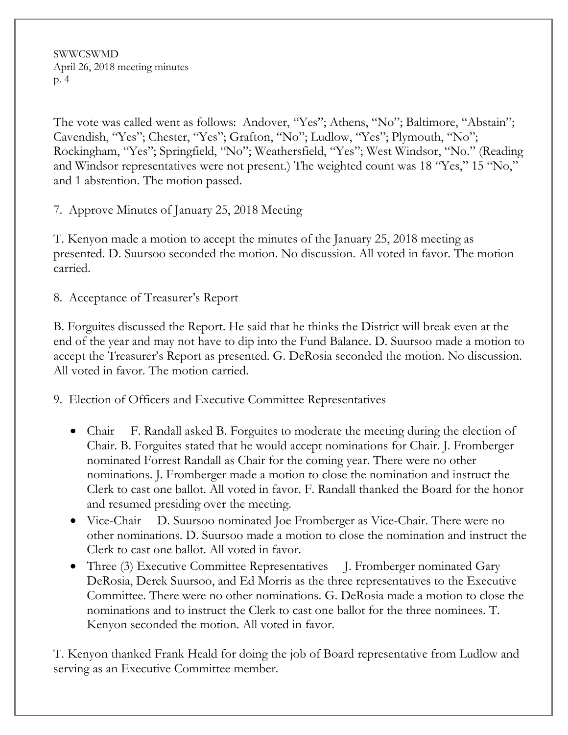SWWCSWMD April 26, 2018 meeting minutes p. 4

The vote was called went as follows: Andover, "Yes"; Athens, "No"; Baltimore, "Abstain"; Cavendish, "Yes"; Chester, "Yes"; Grafton, "No"; Ludlow, "Yes"; Plymouth, "No"; Rockingham, "Yes"; Springfield, "No"; Weathersfield, "Yes"; West Windsor, "No." (Reading and Windsor representatives were not present.) The weighted count was 18 "Yes," 15 "No," and 1 abstention. The motion passed.

7. Approve Minutes of January 25, 2018 Meeting

T. Kenyon made a motion to accept the minutes of the January 25, 2018 meeting as presented. D. Suursoo seconded the motion. No discussion. All voted in favor. The motion carried.

8. Acceptance of Treasurer's Report

B. Forguites discussed the Report. He said that he thinks the District will break even at the end of the year and may not have to dip into the Fund Balance. D. Suursoo made a motion to accept the Treasurer's Report as presented. G. DeRosia seconded the motion. No discussion. All voted in favor. The motion carried.

9. Election of Officers and Executive Committee Representatives

- Chair F. Randall asked B. Forguites to moderate the meeting during the election of Chair. B. Forguites stated that he would accept nominations for Chair. J. Fromberger nominated Forrest Randall as Chair for the coming year. There were no other nominations. J. Fromberger made a motion to close the nomination and instruct the Clerk to cast one ballot. All voted in favor. F. Randall thanked the Board for the honor and resumed presiding over the meeting.
- Vice-Chair D. Suursoo nominated Joe Fromberger as Vice-Chair. There were no other nominations. D. Suursoo made a motion to close the nomination and instruct the Clerk to cast one ballot. All voted in favor.
- Three (3) Executive Committee Representatives J. Fromberger nominated Gary DeRosia, Derek Suursoo, and Ed Morris as the three representatives to the Executive Committee. There were no other nominations. G. DeRosia made a motion to close the nominations and to instruct the Clerk to cast one ballot for the three nominees. T. Kenyon seconded the motion. All voted in favor.

T. Kenyon thanked Frank Heald for doing the job of Board representative from Ludlow and serving as an Executive Committee member.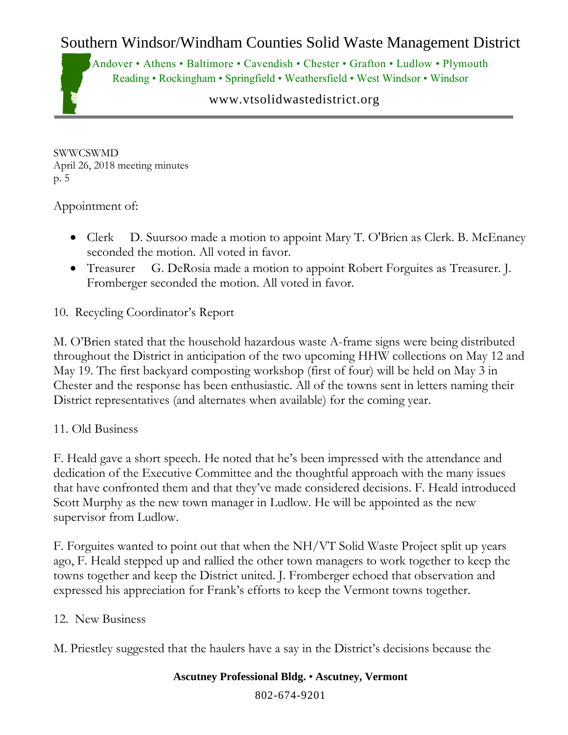# Southern Windsor/Windham Counties Solid Waste Management District

Andover • Athens • Baltimore • Cavendish • Chester • Grafton • Ludlow • Plymouth Reading • Rockingham • Springfield • Weathersfield • West Windsor • Windsor

### www.vtsolidwastedistrict.org

SWWCSWMD April 26, 2018 meeting minutes p. 5

### Appointment of:

- Clerk D. Suursoo made a motion to appoint Mary T. O'Brien as Clerk. B. McEnaney seconded the motion. All voted in favor.
- Treasurer G. DeRosia made a motion to appoint Robert Forguites as Treasurer. J. Fromberger seconded the motion. All voted in favor.

## 10. Recycling Coordinator's Report

M. O'Brien stated that the household hazardous waste A-frame signs were being distributed throughout the District in anticipation of the two upcoming HHW collections on May 12 and May 19. The first backyard composting workshop (first of four) will be held on May 3 in Chester and the response has been enthusiastic. All of the towns sent in letters naming their District representatives (and alternates when available) for the coming year.

### 11. Old Business

F. Heald gave a short speech. He noted that he's been impressed with the attendance and dedication of the Executive Committee and the thoughtful approach with the many issues that have confronted them and that they've made considered decisions. F. Heald introduced Scott Murphy as the new town manager in Ludlow. He will be appointed as the new supervisor from Ludlow.

F. Forguites wanted to point out that when the NH/VT Solid Waste Project split up years ago, F. Heald stepped up and rallied the other town managers to work together to keep the towns together and keep the District united. J. Fromberger echoed that observation and expressed his appreciation for Frank's efforts to keep the Vermont towns together.

### 12. New Business

M. Priestley suggested that the haulers have a say in the District's decisions because the

#### **Ascutney Professional Bldg.** • **Ascutney, Vermont**

802-674-9201